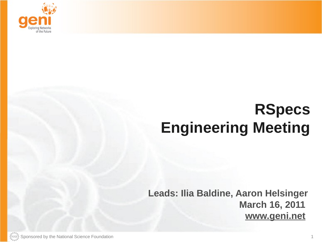

# **RSpecs Engineering Meeting**

**Leads: Ilia Baldine, Aaron Helsinger March 16, 2011 www.geni.net**

Sponsored by the National Science Foundation 1 and 1 and 2 and 2 and 3 and 3 and 3 and 4 and 4 and 4 and 4 and 4 and 4 and 4 and 4 and 4 and 4 and 4 and 4 and 4 and 4 and 4 and 4 and 4 and 4 and 4 and 4 and 4 and 4 and 4 a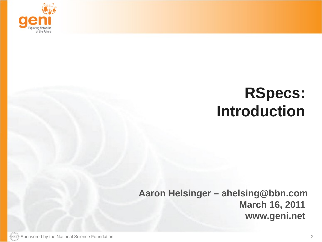

## **RSpecs: Introduction**

#### **Aaron Helsinger – ahelsing@bbn.com March 16, 2011 www.geni.net**

 $\mathbb{R}^{\text{Sht}_\text{S}}$  Sponsored by the National Science Foundation 2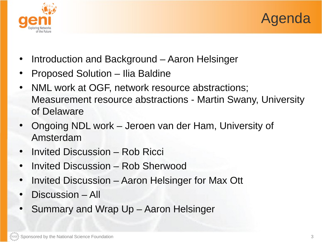



- Introduction and Background Aaron Helsinger
- Proposed Solution Ilia Baldine
- NML work at OGF, network resource abstractions; Measurement resource abstractions - Martin Swany, University of Delaware
- Ongoing NDL work Jeroen van der Ham, University of Amsterdam
- Invited Discussion Rob Ricci
- Invited Discussion Rob Sherwood
- Invited Discussion Aaron Helsinger for Max Ott
- Discussion All
- Summary and Wrap Up Aaron Helsinger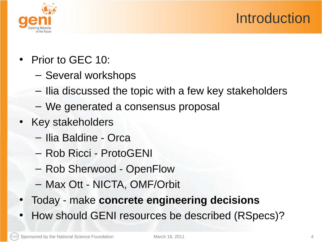## Introduction



- Prior to GEC 10:
	- Several workshops
	- Ilia discussed the topic with a few key stakeholders
	- We generated a consensus proposal
- Key stakeholders
	- Ilia Baldine Orca
	- Rob Ricci ProtoGENI
	- Rob Sherwood OpenFlow
	- Max Ott NICTA, OMF/Orbit
- Today make **concrete engineering decisions**
- How should GENI resources be described (RSpecs)?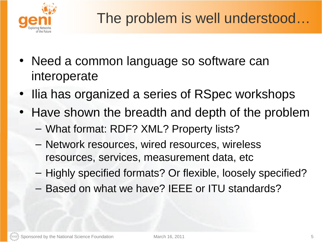

- Need a common language so software can interoperate
- Ilia has organized a series of RSpec workshops
- Have shown the breadth and depth of the problem
	- What format: RDF? XML? Property lists?
	- Network resources, wired resources, wireless resources, services, measurement data, etc
	- Highly specified formats? Or flexible, loosely specified?
	- Based on what we have? IEEE or ITU standards?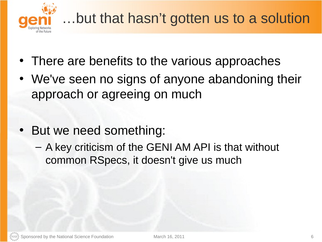

- There are benefits to the various approaches
- We've seen no signs of anyone abandoning their approach or agreeing on much
- But we need something:
	- A key criticism of the GENI AM API is that without common RSpecs, it doesn't give us much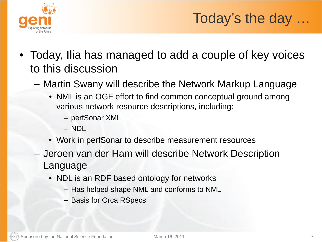

## Today's the day …

- Today, Ilia has managed to add a couple of key voices to this discussion
	- Martin Swany will describe the Network Markup Language
		- NML is an OGF effort to find common conceptual ground among various network resource descriptions, including:
			- perfSonar XML
			- NDL
		- Work in perfSonar to describe measurement resources
	- Jeroen van der Ham will describe Network Description Language
		- NDL is an RDF based ontology for networks
			- Has helped shape NML and conforms to NML
			- Basis for Orca RSpecs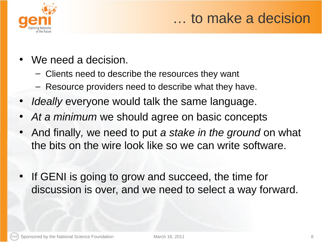

#### … to make a decision

- We need a decision.
	- Clients need to describe the resources they want
	- Resource providers need to describe what they have.
- *Ideally* everyone would talk the same language.
- At a *minimum* we should agree on basic concepts
- And finally*,* we need to put *a stake in the ground* on what the bits on the wire look like so we can write software.
- If GENI is going to grow and succeed, the time for discussion is over, and we need to select a way forward.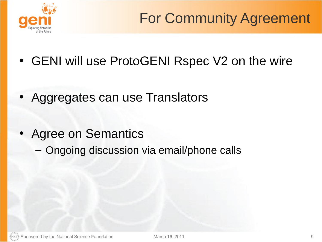

- GENI will use ProtoGENI Rspec V2 on the wire
- Aggregates can use Translators
- Agree on Semantics
	- Ongoing discussion via email/phone calls